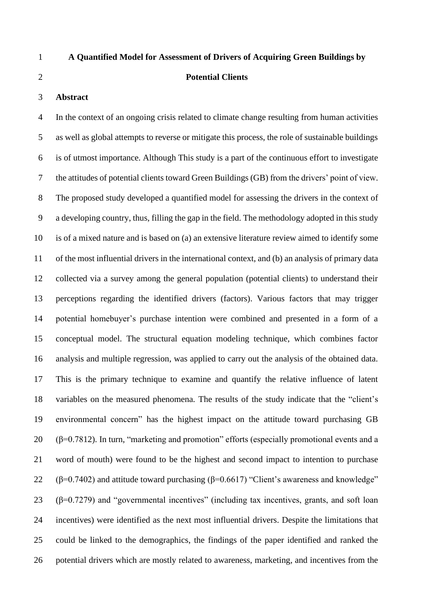# **A Quantified Model for Assessment of Drivers of Acquiring Green Buildings by**

#### **Potential Clients**

#### **Abstract**

 In the context of an ongoing crisis related to climate change resulting from human activities as well as global attempts to reverse or mitigate this process, the role of sustainable buildings is of utmost importance. Although This study is a part of the continuous effort to investigate the attitudes of potential clients toward Green Buildings (GB) from the drivers' point of view. The proposed study developed a quantified model for assessing the drivers in the context of a developing country, thus, filling the gap in the field. The methodology adopted in this study is of a mixed nature and is based on (a) an extensive literature review aimed to identify some of the most influential drivers in the international context, and (b) an analysis of primary data collected via a survey among the general population (potential clients) to understand their perceptions regarding the identified drivers (factors). Various factors that may trigger potential homebuyer's purchase intention were combined and presented in a form of a conceptual model. The structural equation modeling technique, which combines factor analysis and multiple regression, was applied to carry out the analysis of the obtained data. This is the primary technique to examine and quantify the relative influence of latent variables on the measured phenomena. The results of the study indicate that the "client's environmental concern" has the highest impact on the attitude toward purchasing GB  $(\beta=0.7812)$ . In turn, "marketing and promotion" efforts (especially promotional events and a word of mouth) were found to be the highest and second impact to intention to purchase 22 (β=0.7402) and attitude toward purchasing (β=0.6617) "Client's awareness and knowledge" 23 ( $\beta$ =0.7279) and "governmental incentives" (including tax incentives, grants, and soft loan incentives) were identified as the next most influential drivers. Despite the limitations that could be linked to the demographics, the findings of the paper identified and ranked the potential drivers which are mostly related to awareness, marketing, and incentives from the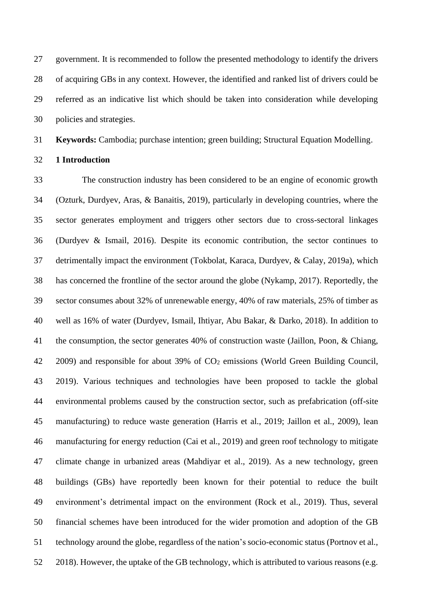government. It is recommended to follow the presented methodology to identify the drivers of acquiring GBs in any context. However, the identified and ranked list of drivers could be referred as an indicative list which should be taken into consideration while developing policies and strategies.

**Keywords:** Cambodia; purchase intention; green building; Structural Equation Modelling.

**1 Introduction**

 The construction industry has been considered to be an engine of economic growth (Ozturk, Durdyev, Aras, & Banaitis, 2019), particularly in developing countries, where the sector generates employment and triggers other sectors due to cross-sectoral linkages (Durdyev & Ismail, 2016). Despite its economic contribution, the sector continues to detrimentally impact the environment (Tokbolat, Karaca, Durdyev, & Calay, 2019a), which has concerned the frontline of the sector around the globe (Nykamp, 2017). Reportedly, the sector consumes about 32% of unrenewable energy, 40% of raw materials, 25% of timber as well as 16% of water (Durdyev, Ismail, Ihtiyar, Abu Bakar, & Darko, 2018). In addition to the consumption, the sector generates 40% of construction waste (Jaillon, Poon, & Chiang, 42 2009) and responsible for about 39% of CO<sub>2</sub> emissions (World Green Building Council, 2019). Various techniques and technologies have been proposed to tackle the global environmental problems caused by the construction sector, such as prefabrication (off-site manufacturing) to reduce waste generation (Harris et al., 2019; Jaillon et al., 2009), lean manufacturing for energy reduction (Cai et al., 2019) and green roof technology to mitigate climate change in urbanized areas (Mahdiyar et al., 2019). As a new technology, green buildings (GBs) have reportedly been known for their potential to reduce the built environment's detrimental impact on the environment (Rock et al., 2019). Thus, several financial schemes have been introduced for the wider promotion and adoption of the GB technology around the globe, regardless of the nation's socio-economic status (Portnov et al., 2018). However, the uptake of the GB technology, which is attributed to various reasons (e.g.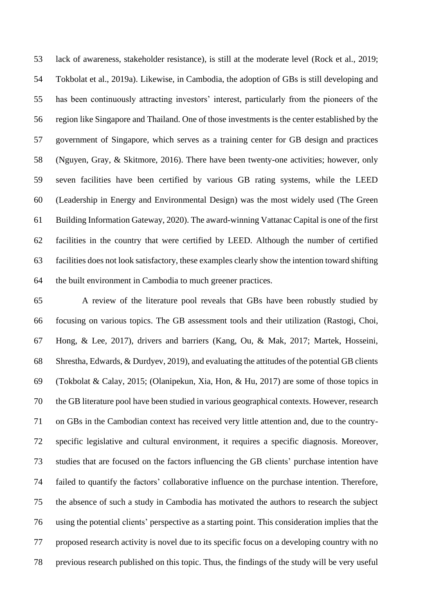lack of awareness, stakeholder resistance), is still at the moderate level (Rock et al., 2019; Tokbolat et al., 2019a). Likewise, in Cambodia, the adoption of GBs is still developing and has been continuously attracting investors' interest, particularly from the pioneers of the region like Singapore and Thailand. One of those investments is the center established by the government of Singapore, which serves as a training center for GB design and practices (Nguyen, Gray, & Skitmore, 2016). There have been twenty-one activities; however, only seven facilities have been certified by various GB rating systems, while the LEED (Leadership in Energy and Environmental Design) was the most widely used (The Green Building Information Gateway, 2020). The award-winning Vattanac Capital is one of the first facilities in the country that were certified by LEED. Although the number of certified facilities does not look satisfactory, these examples clearly show the intention toward shifting the built environment in Cambodia to much greener practices.

 A review of the literature pool reveals that GBs have been robustly studied by focusing on various topics. The GB assessment tools and their utilization (Rastogi, Choi, Hong, & Lee, 2017), drivers and barriers (Kang, Ou, & Mak, 2017; Martek, Hosseini, Shrestha, Edwards, & Durdyev, 2019), and evaluating the attitudes of the potential GB clients (Tokbolat & Calay, 2015; (Olanipekun, Xia, Hon, & Hu, 2017) are some of those topics in the GB literature pool have been studied in various geographical contexts. However, research on GBs in the Cambodian context has received very little attention and, due to the country- specific legislative and cultural environment, it requires a specific diagnosis. Moreover, studies that are focused on the factors influencing the GB clients' purchase intention have failed to quantify the factors' collaborative influence on the purchase intention. Therefore, the absence of such a study in Cambodia has motivated the authors to research the subject using the potential clients' perspective as a starting point. This consideration implies that the proposed research activity is novel due to its specific focus on a developing country with no previous research published on this topic. Thus, the findings of the study will be very useful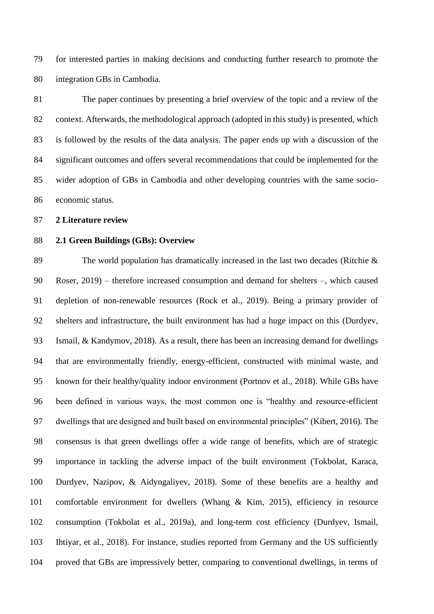for interested parties in making decisions and conducting further research to promote the integration GBs in Cambodia.

 The paper continues by presenting a brief overview of the topic and a review of the context. Afterwards, the methodological approach (adopted in this study) is presented, which is followed by the results of the data analysis. The paper ends up with a discussion of the significant outcomes and offers several recommendations that could be implemented for the wider adoption of GBs in Cambodia and other developing countries with the same socio-economic status.

**2 Literature review**

# **2.1 Green Buildings (GBs): Overview**

 The world population has dramatically increased in the last two decades (Ritchie & Roser, 2019) – therefore increased consumption and demand for shelters –, which caused depletion of non-renewable resources (Rock et al., 2019). Being a primary provider of shelters and infrastructure, the built environment has had a huge impact on this (Durdyev, Ismail, & Kandymov, 2018). As a result, there has been an increasing demand for dwellings that are environmentally friendly, energy-efficient, constructed with minimal waste, and known for their healthy/quality indoor environment (Portnov et al., 2018). While GBs have been defined in various ways, the most common one is "healthy and resource-efficient dwellings that are designed and built based on environmental principles" (Kibert, 2016). The consensus is that green dwellings offer a wide range of benefits, which are of strategic importance in tackling the adverse impact of the built environment (Tokbolat, Karaca, Durdyev, Nazipov, & Aidyngaliyev, 2018). Some of these benefits are a healthy and comfortable environment for dwellers (Whang & Kim, 2015), efficiency in resource consumption (Tokbolat et al., 2019a), and long-term cost efficiency (Durdyev, Ismail, Ihtiyar, et al., 2018). For instance, studies reported from Germany and the US sufficiently proved that GBs are impressively better, comparing to conventional dwellings, in terms of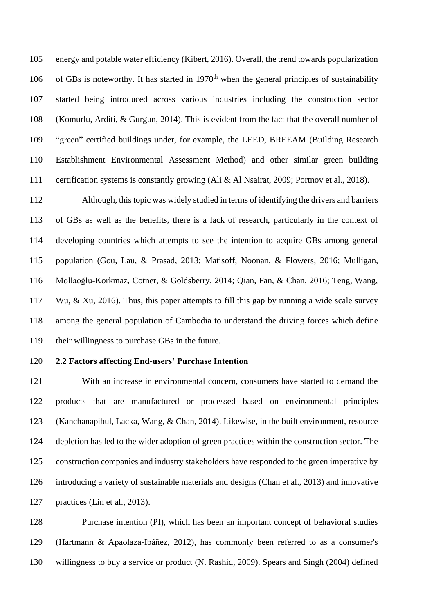energy and potable water efficiency (Kibert, 2016). Overall, the trend towards popularization 106 of GBs is noteworthy. It has started in 1970<sup>th</sup> when the general principles of sustainability started being introduced across various industries including the construction sector (Komurlu, Arditi, & Gurgun, 2014). This is evident from the fact that the overall number of "green" certified buildings under, for example, the LEED, BREEAM (Building Research Establishment Environmental Assessment Method) and other similar green building certification systems is constantly growing (Ali & Al Nsairat, 2009; Portnov et al., 2018).

 Although, this topic was widely studied in terms of identifying the drivers and barriers of GBs as well as the benefits, there is a lack of research, particularly in the context of developing countries which attempts to see the intention to acquire GBs among general population (Gou, Lau, & Prasad, 2013; Matisoff, Noonan, & Flowers, 2016; Mulligan, Mollaoğlu-Korkmaz, Cotner, & Goldsberry, 2014; Qian, Fan, & Chan, 2016; Teng, Wang, Wu, & Xu, 2016). Thus, this paper attempts to fill this gap by running a wide scale survey among the general population of Cambodia to understand the driving forces which define their willingness to purchase GBs in the future.

#### **2.2 Factors affecting End-users' Purchase Intention**

 With an increase in environmental concern, consumers have started to demand the products that are manufactured or processed based on environmental principles (Kanchanapibul, Lacka, Wang, & Chan, 2014). Likewise, in the built environment, resource depletion has led to the wider adoption of green practices within the construction sector. The construction companies and industry stakeholders have responded to the green imperative by introducing a variety of sustainable materials and designs (Chan et al., 2013) and innovative practices (Lin et al., 2013).

 Purchase intention (PI), which has been an important concept of behavioral studies (Hartmann & Apaolaza-Ibáñez, 2012), has commonly been referred to as a consumer's willingness to buy a service or product (N. Rashid, 2009). Spears and Singh (2004) defined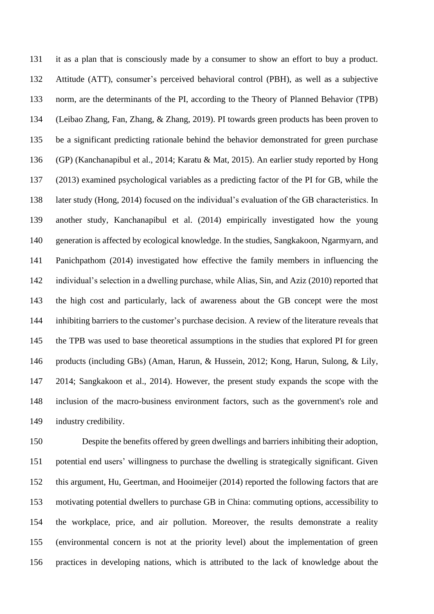it as a plan that is consciously made by a consumer to show an effort to buy a product. Attitude (ATT), consumer's perceived behavioral control (PBH), as well as a subjective norm, are the determinants of the PI, according to the Theory of Planned Behavior (TPB) (Leibao Zhang, Fan, Zhang, & Zhang, 2019). PI towards green products has been proven to be a significant predicting rationale behind the behavior demonstrated for green purchase (GP) (Kanchanapibul et al., 2014; Karatu & Mat, 2015). An earlier study reported by Hong (2013) examined psychological variables as a predicting factor of the PI for GB, while the later study (Hong, 2014) focused on the individual's evaluation of the GB characteristics. In another study, Kanchanapibul et al. (2014) empirically investigated how the young generation is affected by ecological knowledge. In the studies, Sangkakoon, Ngarmyarn, and Panichpathom (2014) investigated how effective the family members in influencing the individual's selection in a dwelling purchase, while Alias, Sin, and Aziz (2010) reported that the high cost and particularly, lack of awareness about the GB concept were the most inhibiting barriers to the customer's purchase decision. A review of the literature reveals that the TPB was used to base theoretical assumptions in the studies that explored PI for green products (including GBs) (Aman, Harun, & Hussein, 2012; Kong, Harun, Sulong, & Lily, 2014; Sangkakoon et al., 2014). However, the present study expands the scope with the inclusion of the macro-business environment factors, such as the government's role and industry credibility.

 Despite the benefits offered by green dwellings and barriers inhibiting their adoption, potential end users' willingness to purchase the dwelling is strategically significant. Given this argument, Hu, Geertman, and Hooimeijer (2014) reported the following factors that are motivating potential dwellers to purchase GB in China: commuting options, accessibility to the workplace, price, and air pollution. Moreover, the results demonstrate a reality (environmental concern is not at the priority level) about the implementation of green practices in developing nations, which is attributed to the lack of knowledge about the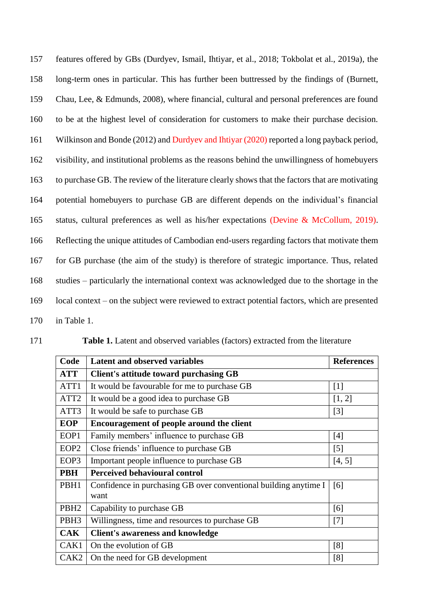| 157 | features offered by GBs (Durdyev, Ismail, Ihtiyar, et al., 2018; Tokbolat et al., 2019a), the   |
|-----|-------------------------------------------------------------------------------------------------|
| 158 | long-term ones in particular. This has further been buttressed by the findings of (Burnett,     |
| 159 | Chau, Lee, & Edmunds, 2008), where financial, cultural and personal preferences are found       |
| 160 | to be at the highest level of consideration for customers to make their purchase decision.      |
| 161 | Wilkinson and Bonde (2012) and Durdyev and Ihtiyar (2020) reported a long payback period,       |
| 162 | visibility, and institutional problems as the reasons behind the unwillingness of homebuyers    |
| 163 | to purchase GB. The review of the literature clearly shows that the factors that are motivating |
| 164 | potential homebuyers to purchase GB are different depends on the individual's financial         |
| 165 | status, cultural preferences as well as his/her expectations (Devine & McCollum, 2019).         |
| 166 | Reflecting the unique attitudes of Cambodian end-users regarding factors that motivate them     |
| 167 | for GB purchase (the aim of the study) is therefore of strategic importance. Thus, related      |
| 168 | studies – particularly the international context was acknowledged due to the shortage in the    |
| 169 | local context – on the subject were reviewed to extract potential factors, which are presented  |
| 170 | in Table 1.                                                                                     |

171 **Table 1.** Latent and observed variables (factors) extracted from the literature

| Code             | <b>Latent and observed variables</b>                             | <b>References</b> |
|------------------|------------------------------------------------------------------|-------------------|
| <b>ATT</b>       | Client's attitude toward purchasing GB                           |                   |
| ATT1             | It would be favourable for me to purchase GB                     | $[1]$             |
| ATT <sub>2</sub> | It would be a good idea to purchase GB                           | [1, 2]            |
| ATT3             | It would be safe to purchase GB                                  | $[3]$             |
| <b>EOP</b>       | Encouragement of people around the client                        |                   |
| EOP1             | Family members' influence to purchase GB                         | [4]               |
| EOP <sub>2</sub> | Close friends' influence to purchase GB                          | $\lceil 5 \rceil$ |
| EOP3             | Important people influence to purchase GB                        | [4, 5]            |
| <b>PBH</b>       | <b>Perceived behavioural control</b>                             |                   |
| PBH1             | Confidence in purchasing GB over conventional building anytime I | [6]               |
|                  | want                                                             |                   |
| PBH <sub>2</sub> | Capability to purchase GB                                        | [6]               |
| PBH <sub>3</sub> | Willingness, time and resources to purchase GB                   | [7]               |
| <b>CAK</b>       | <b>Client's awareness and knowledge</b>                          |                   |
| CAK1             | On the evolution of GB                                           | [8]               |
| CAK <sub>2</sub> | On the need for GB development                                   | [8]               |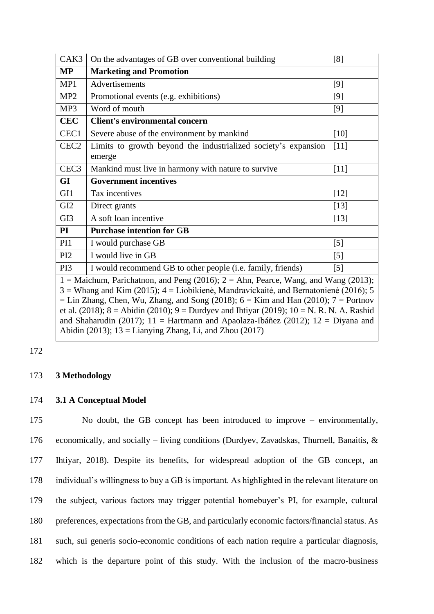| CAK3                                                                                                                                                                                                                                                                                                                                                                                                                                                                | On the advantages of GB over conventional building             | [8]               |  |
|---------------------------------------------------------------------------------------------------------------------------------------------------------------------------------------------------------------------------------------------------------------------------------------------------------------------------------------------------------------------------------------------------------------------------------------------------------------------|----------------------------------------------------------------|-------------------|--|
| MP                                                                                                                                                                                                                                                                                                                                                                                                                                                                  | <b>Marketing and Promotion</b>                                 |                   |  |
| MP1                                                                                                                                                                                                                                                                                                                                                                                                                                                                 | Advertisements                                                 | $[9]$             |  |
| MP <sub>2</sub>                                                                                                                                                                                                                                                                                                                                                                                                                                                     | Promotional events (e.g. exhibitions)                          | $[9]$             |  |
| MP3                                                                                                                                                                                                                                                                                                                                                                                                                                                                 | Word of mouth                                                  | $[9]$             |  |
| <b>CEC</b>                                                                                                                                                                                                                                                                                                                                                                                                                                                          | Client's environmental concern                                 |                   |  |
| CEC1                                                                                                                                                                                                                                                                                                                                                                                                                                                                | Severe abuse of the environment by mankind                     | $[10]$            |  |
| CEC <sub>2</sub>                                                                                                                                                                                                                                                                                                                                                                                                                                                    | Limits to growth beyond the industrialized society's expansion | [11]              |  |
|                                                                                                                                                                                                                                                                                                                                                                                                                                                                     | emerge                                                         |                   |  |
| CEC <sub>3</sub>                                                                                                                                                                                                                                                                                                                                                                                                                                                    | Mankind must live in harmony with nature to survive            | $[11]$            |  |
| GI                                                                                                                                                                                                                                                                                                                                                                                                                                                                  | <b>Government incentives</b>                                   |                   |  |
| GI1                                                                                                                                                                                                                                                                                                                                                                                                                                                                 | Tax incentives                                                 | $[12]$            |  |
| GI <sub>2</sub>                                                                                                                                                                                                                                                                                                                                                                                                                                                     | Direct grants                                                  | $[13]$            |  |
| GI <sub>3</sub>                                                                                                                                                                                                                                                                                                                                                                                                                                                     | A soft loan incentive                                          | $[13]$            |  |
| $\mathbf{PI}$                                                                                                                                                                                                                                                                                                                                                                                                                                                       | <b>Purchase intention for GB</b>                               |                   |  |
| PI <sub>1</sub>                                                                                                                                                                                                                                                                                                                                                                                                                                                     | I would purchase GB                                            | [5]               |  |
| PI <sub>2</sub>                                                                                                                                                                                                                                                                                                                                                                                                                                                     | I would live in GB                                             | $[5]$             |  |
| PI3                                                                                                                                                                                                                                                                                                                                                                                                                                                                 | I would recommend GB to other people (i.e. family, friends)    | $\lceil 5 \rceil$ |  |
| 1 = Maichum, Parichatnon, and Peng (2016); $2 =$ Ahn, Pearce, Wang, and Wang (2013);<br>$3 =$ Whang and Kim (2015); $4 =$ Liobikienė, Mandravickaitė, and Bernatonienė (2016); 5<br>$=$ Lin Zhang, Chen, Wu, Zhang, and Song (2018); $6 =$ Kim and Han (2010); $7 =$ Portnov<br>et al. (2018); $8 =$ Abidin (2010); $9 =$ Durdyev and Ihtiyar (2019); $10 =$ N. R. N. A. Rashid<br>and Shaharudin (2017); 11 = Hartmann and Apaolaza-Ibáñez (2012); 12 = Diyana and |                                                                |                   |  |

Abidin (2013);  $13 =$ Lianying Zhang, Li, and Zhou (2017)

# 172

# 173 **3 Methodology**

# 174 **3.1 A Conceptual Model**

 No doubt, the GB concept has been introduced to improve – environmentally, economically, and socially – living conditions (Durdyev, Zavadskas, Thurnell, Banaitis, & Ihtiyar, 2018). Despite its benefits, for widespread adoption of the GB concept, an individual's willingness to buy a GB is important. As highlighted in the relevant literature on the subject, various factors may trigger potential homebuyer's PI, for example, cultural preferences, expectations from the GB, and particularly economic factors/financial status. As such, sui generis socio-economic conditions of each nation require a particular diagnosis, which is the departure point of this study. With the inclusion of the macro-business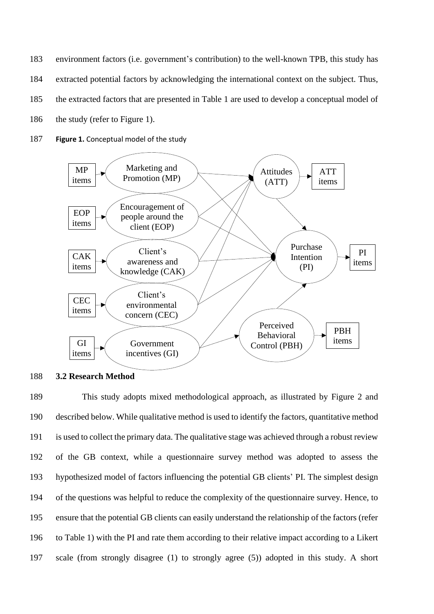- 183 environment factors (i.e. government's contribution) to the well-known TPB, this study has 184 extracted potential factors by acknowledging the international context on the subject. Thus, 185 the extracted factors that are presented in Table 1 are used to develop a conceptual model of
- 186 the study (refer to Figure 1).
- 187 **Figure 1.** Conceptual model of the study



# 188 **3.2 Research Method**

 This study adopts mixed methodological approach, as illustrated by Figure 2 and described below. While qualitative method is used to identify the factors, quantitative method is used to collect the primary data. The qualitative stage was achieved through a robust review of the GB context, while a questionnaire survey method was adopted to assess the hypothesized model of factors influencing the potential GB clients' PI. The simplest design of the questions was helpful to reduce the complexity of the questionnaire survey. Hence, to ensure that the potential GB clients can easily understand the relationship of the factors (refer to Table 1) with the PI and rate them according to their relative impact according to a Likert scale (from strongly disagree (1) to strongly agree (5)) adopted in this study. A short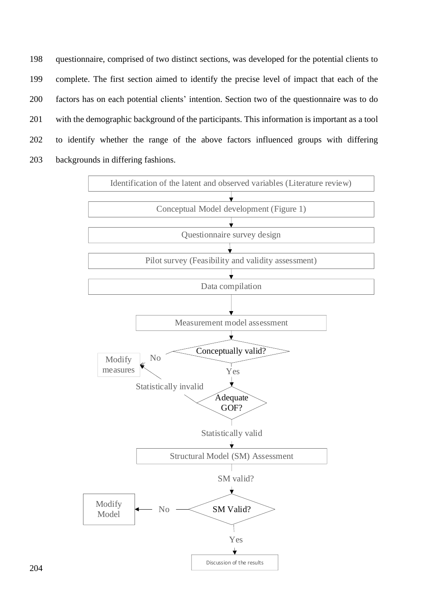questionnaire, comprised of two distinct sections, was developed for the potential clients to complete. The first section aimed to identify the precise level of impact that each of the factors has on each potential clients' intention. Section two of the questionnaire was to do with the demographic background of the participants. This information is important as a tool to identify whether the range of the above factors influenced groups with differing backgrounds in differing fashions.



204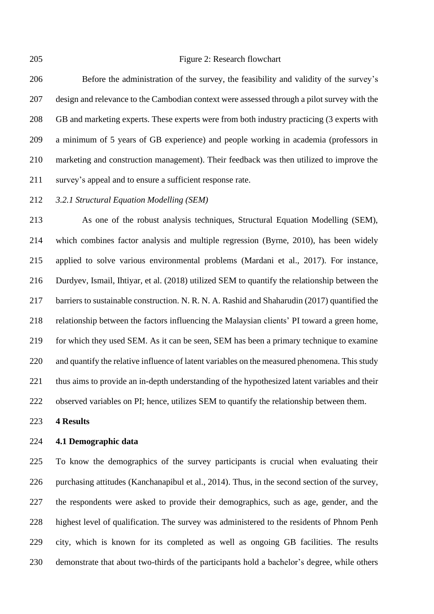Figure 2: Research flowchart

 Before the administration of the survey, the feasibility and validity of the survey's design and relevance to the Cambodian context were assessed through a pilot survey with the GB and marketing experts. These experts were from both industry practicing (3 experts with a minimum of 5 years of GB experience) and people working in academia (professors in marketing and construction management). Their feedback was then utilized to improve the survey's appeal and to ensure a sufficient response rate.

*3.2.1 Structural Equation Modelling (SEM)*

 As one of the robust analysis techniques, Structural Equation Modelling (SEM), which combines factor analysis and multiple regression (Byrne, 2010), has been widely applied to solve various environmental problems (Mardani et al., 2017). For instance, Durdyev, Ismail, Ihtiyar, et al. (2018) utilized SEM to quantify the relationship between the barriers to sustainable construction. N. R. N. A. Rashid and Shaharudin (2017) quantified the relationship between the factors influencing the Malaysian clients' PI toward a green home, for which they used SEM. As it can be seen, SEM has been a primary technique to examine and quantify the relative influence of latent variables on the measured phenomena. This study thus aims to provide an in-depth understanding of the hypothesized latent variables and their observed variables on PI; hence, utilizes SEM to quantify the relationship between them.

**4 Results**

#### **4.1 Demographic data**

 To know the demographics of the survey participants is crucial when evaluating their purchasing attitudes (Kanchanapibul et al., 2014). Thus, in the second section of the survey, the respondents were asked to provide their demographics, such as age, gender, and the highest level of qualification. The survey was administered to the residents of Phnom Penh city, which is known for its completed as well as ongoing GB facilities. The results demonstrate that about two-thirds of the participants hold a bachelor's degree, while others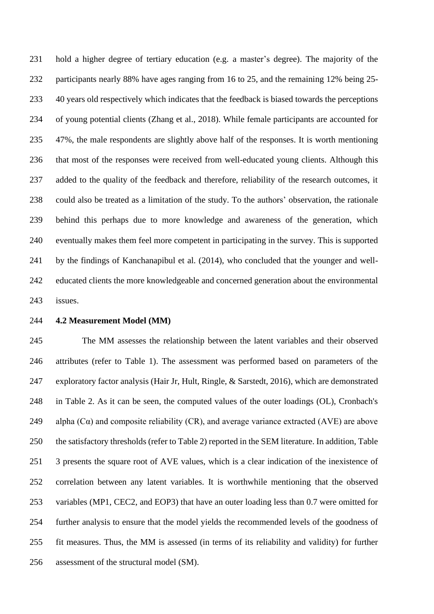hold a higher degree of tertiary education (e.g. a master's degree). The majority of the participants nearly 88% have ages ranging from 16 to 25, and the remaining 12% being 25- 40 years old respectively which indicates that the feedback is biased towards the perceptions of young potential clients (Zhang et al., 2018). While female participants are accounted for 47%, the male respondents are slightly above half of the responses. It is worth mentioning that most of the responses were received from well-educated young clients. Although this added to the quality of the feedback and therefore, reliability of the research outcomes, it could also be treated as a limitation of the study. To the authors' observation, the rationale behind this perhaps due to more knowledge and awareness of the generation, which eventually makes them feel more competent in participating in the survey. This is supported by the findings of Kanchanapibul et al. (2014), who concluded that the younger and well- educated clients the more knowledgeable and concerned generation about the environmental issues.

#### **4.2 Measurement Model (MM)**

 The MM assesses the relationship between the latent variables and their observed attributes (refer to Table 1). The assessment was performed based on parameters of the exploratory factor analysis (Hair Jr, Hult, Ringle, & Sarstedt, 2016), which are demonstrated in Table 2. As it can be seen, the computed values of the outer loadings (OL), Cronbach's 249 alpha  $(C\alpha)$  and composite reliability  $(CR)$ , and average variance extracted  $(AVE)$  are above the satisfactory thresholds (refer to Table 2) reported in the SEM literature. In addition, Table 3 presents the square root of AVE values, which is a clear indication of the inexistence of correlation between any latent variables. It is worthwhile mentioning that the observed variables (MP1, CEC2, and EOP3) that have an outer loading less than 0.7 were omitted for further analysis to ensure that the model yields the recommended levels of the goodness of fit measures. Thus, the MM is assessed (in terms of its reliability and validity) for further assessment of the structural model (SM).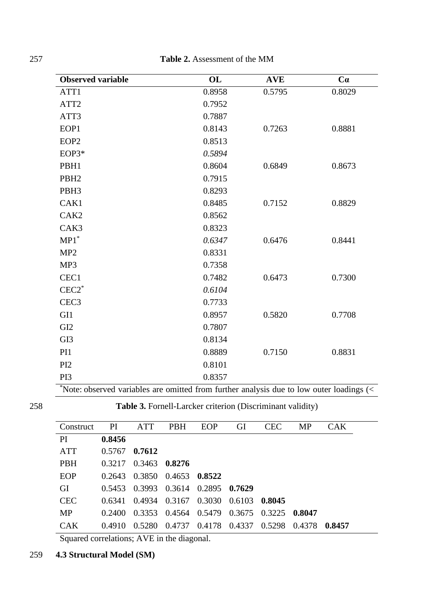257 **Table 2.** Assessment of the MM

| <b>Observed variable</b>                                                                    | OL     | <b>AVE</b> | Ca     |
|---------------------------------------------------------------------------------------------|--------|------------|--------|
| ATT1                                                                                        | 0.8958 | 0.5795     | 0.8029 |
| ATT <sub>2</sub>                                                                            | 0.7952 |            |        |
| ATT3                                                                                        | 0.7887 |            |        |
| EOP1                                                                                        | 0.8143 | 0.7263     | 0.8881 |
| EOP <sub>2</sub>                                                                            | 0.8513 |            |        |
| EOP3*                                                                                       | 0.5894 |            |        |
| PBH1                                                                                        | 0.8604 | 0.6849     | 0.8673 |
| PBH <sub>2</sub>                                                                            | 0.7915 |            |        |
| PBH <sub>3</sub>                                                                            | 0.8293 |            |        |
| CAK1                                                                                        | 0.8485 | 0.7152     | 0.8829 |
| CAK <sub>2</sub>                                                                            | 0.8562 |            |        |
| CAK3                                                                                        | 0.8323 |            |        |
| $MP1^*$                                                                                     | 0.6347 | 0.6476     | 0.8441 |
| MP <sub>2</sub>                                                                             | 0.8331 |            |        |
| MP3                                                                                         | 0.7358 |            |        |
| CEC1                                                                                        | 0.7482 | 0.6473     | 0.7300 |
| $CEC2$ <sup>*</sup>                                                                         | 0.6104 |            |        |
| CEC <sub>3</sub>                                                                            | 0.7733 |            |        |
| GI1                                                                                         | 0.8957 | 0.5820     | 0.7708 |
| GI <sub>2</sub>                                                                             | 0.7807 |            |        |
| GI3                                                                                         | 0.8134 |            |        |
| PI1                                                                                         | 0.8889 | 0.7150     | 0.8831 |
| PI <sub>2</sub>                                                                             | 0.8101 |            |        |
| PI3                                                                                         | 0.8357 |            |        |
| $*$ Note: observed variables are omitted from further analysis due to low outer loadings (< |        |            |        |

0.7) 258 **Table 3.** Fornell-Larcker criterion (Discriminant validity)

| <b>Table 3.</b> Formell-Larcker criterion (Discriminant validity) |  |  |
|-------------------------------------------------------------------|--|--|
|                                                                   |  |  |

| Construct  | PI     | <b>ATT</b>    | <b>PBH</b>                         | EOP    | GI     | <b>CEC</b> | MP      | CAK    |  |
|------------|--------|---------------|------------------------------------|--------|--------|------------|---------|--------|--|
| PI         | 0.8456 |               |                                    |        |        |            |         |        |  |
| <b>ATT</b> | 0.5767 | 0.7612        |                                    |        |        |            |         |        |  |
| <b>PBH</b> | 0.3217 | 0.3463 0.8276 |                                    |        |        |            |         |        |  |
| EOP        | 0.2643 |               | 0.3850 0.4653                      | 0.8522 |        |            |         |        |  |
| GI         | 0.5453 |               | 0.3993 0.3614 0.2895 0.7629        |        |        |            |         |        |  |
| <b>CEC</b> | 0.6341 |               | 0.4934 0.3167 0.3030               |        | 0.6103 | 0.8045     |         |        |  |
| <b>MP</b>  | 0.2400 |               | 0.3353 0.4564 0.5479 0.3675        |        |        | 0.3225     | -0.8047 |        |  |
| <b>CAK</b> | 0.4910 |               | 0.5280 0.4737 0.4178 0.4337 0.5298 |        |        |            | 0.4378  | 0.8457 |  |
|            |        |               |                                    |        |        |            |         |        |  |

Squared correlations; AVE in the diagonal.

# 259 **4.3 Structural Model (SM)**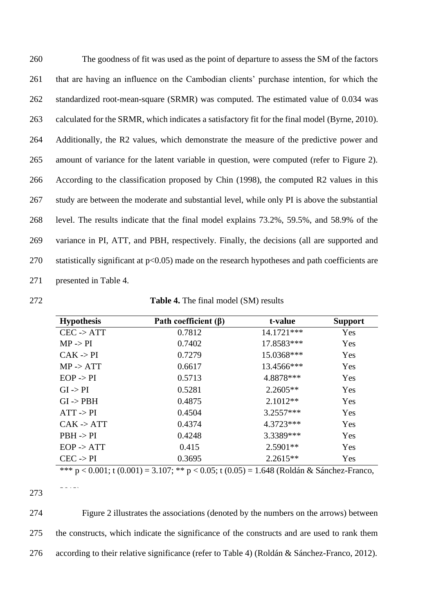| 260 | The goodness of fit was used as the point of departure to assess the SM of the factors            |
|-----|---------------------------------------------------------------------------------------------------|
| 261 | that are having an influence on the Cambodian clients' purchase intention, for which the          |
| 262 | standardized root-mean-square (SRMR) was computed. The estimated value of 0.034 was               |
| 263 | calculated for the SRMR, which indicates a satisfactory fit for the final model (Byrne, 2010).    |
| 264 | Additionally, the R2 values, which demonstrate the measure of the predictive power and            |
| 265 | amount of variance for the latent variable in question, were computed (refer to Figure 2).        |
| 266 | According to the classification proposed by Chin (1998), the computed R2 values in this           |
| 267 | study are between the moderate and substantial level, while only PI is above the substantial      |
| 268 | level. The results indicate that the final model explains 73.2%, 59.5%, and 58.9% of the          |
| 269 | variance in PI, ATT, and PBH, respectively. Finally, the decisions (all are supported and         |
| 270 | statistically significant at $p<0.05$ ) made on the research hypotheses and path coefficients are |
| 271 | presented in Table 4.                                                                             |

272 **Table 4.** The final model (SM) results

| <b>Hypothesis</b>     | Path coefficient $(\beta)$ | t-value     | <b>Support</b> |
|-----------------------|----------------------------|-------------|----------------|
| $CEC \rightarrow ATT$ | 0.7812                     | 14.1721***  | Yes            |
| MP > PI               | 0.7402                     | 17.8583***  | Yes            |
| $CAK \rightarrow PI$  | 0.7279                     | 15.0368***  | Yes            |
| $MP \rightarrow ATT$  | 0.6617                     | 13.4566***  | Yes            |
| $EOP \rightarrow PI$  | 0.5713                     | 4.8878 ***  | Yes            |
| $GI \rightarrow PI$   | 0.5281                     | $2.2605**$  | Yes            |
| $GI \rightarrow PBH$  | 0.4875                     | $2.1012**$  | Yes            |
| $ATT \rightarrow PI$  | 0.4504                     | $3.2557***$ | Yes            |
| $CAK \rightarrow ATT$ | 0.4374                     | 4.3723***   | Yes            |
| $PBH \rightarrow PI$  | 0.4248                     | 3.3389***   | Yes            |
| $EOP \rightarrow ATT$ | 0.415                      | $2.5901**$  | Yes            |
| $CEC \rightarrow PI$  | 0.3695                     | $2.2615**$  | Yes            |

\*\*\*  $p < 0.001$ ; t (0.001) = 3.107; \*\*  $p < 0.05$ ; t (0.05) = 1.648 (Roldán & Sánchez-Franco,

274 Figure 2 illustrates the associations (denoted by the numbers on the arrows) between 275 the constructs, which indicate the significance of the constructs and are used to rank them 276 according to their relative significance (refer to Table 4) (Roldán & Sánchez-Franco, 2012).

<sup>273</sup>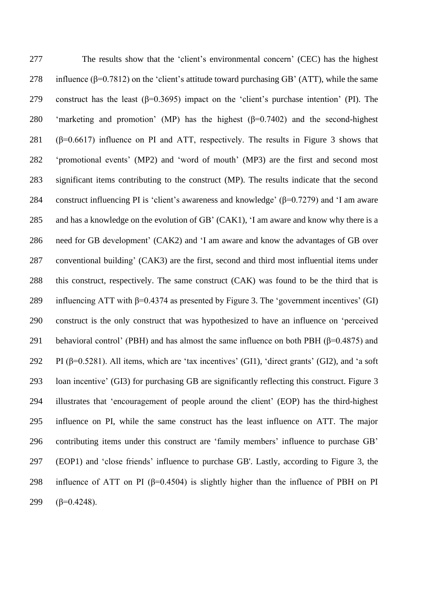The results show that the 'client's environmental concern' (CEC) has the highest 278 influence ( $\beta$ =0.7812) on the 'client's attitude toward purchasing GB' (ATT), while the same 279 construct has the least  $(\beta=0.3695)$  impact on the 'client's purchase intention' (PI). The 'marketing and promotion' (MP) has the highest (β=0.7402) and the second-highest 281 ( $\beta$ =0.6617) influence on PI and ATT, respectively. The results in Figure 3 shows that 'promotional events' (MP2) and 'word of mouth' (MP3) are the first and second most significant items contributing to the construct (MP). The results indicate that the second 284 construct influencing PI is 'client's awareness and knowledge' ( $\beta$ =0.7279) and 'I am aware and has a knowledge on the evolution of GB' (CAK1), 'I am aware and know why there is a need for GB development' (CAK2) and 'I am aware and know the advantages of GB over conventional building' (CAK3) are the first, second and third most influential items under this construct, respectively. The same construct (CAK) was found to be the third that is 289 influencing ATT with  $\beta$ =0.4374 as presented by Figure 3. The 'government incentives' (GI) construct is the only construct that was hypothesized to have an influence on 'perceived behavioral control' (PBH) and has almost the same influence on both PBH (β=0.4875) and 292 PI ( $\beta$ =0.5281). All items, which are 'tax incentives' (GI1), 'direct grants' (GI2), and 'a soft loan incentive' (GI3) for purchasing GB are significantly reflecting this construct. Figure 3 illustrates that 'encouragement of people around the client' (EOP) has the third-highest influence on PI, while the same construct has the least influence on ATT. The major contributing items under this construct are 'family members' influence to purchase GB' (EOP1) and 'close friends' influence to purchase GB'. Lastly, according to Figure 3, the 298 influence of ATT on PI ( $\beta$ =0.4504) is slightly higher than the influence of PBH on PI  $(\beta=0.4248)$ .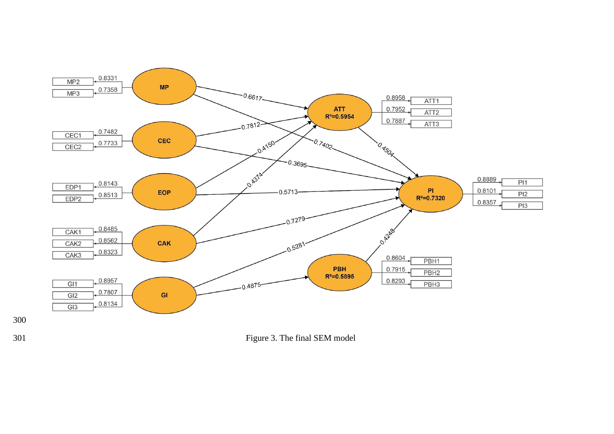

Figure 3. The final SEM model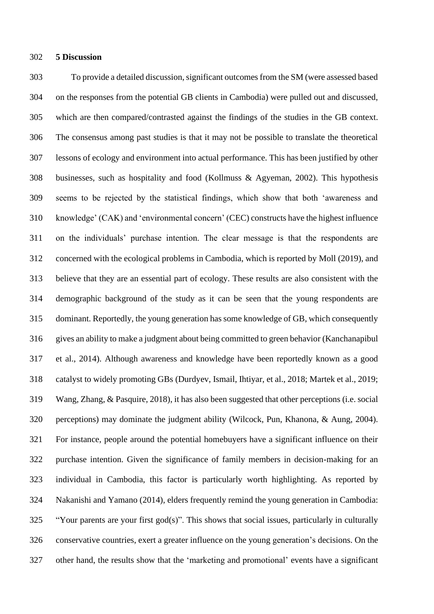#### **5 Discussion**

 To provide a detailed discussion, significant outcomes from the SM (were assessed based on the responses from the potential GB clients in Cambodia) were pulled out and discussed, which are then compared/contrasted against the findings of the studies in the GB context. The consensus among past studies is that it may not be possible to translate the theoretical lessons of ecology and environment into actual performance. This has been justified by other businesses, such as hospitality and food (Kollmuss & Agyeman, 2002). This hypothesis seems to be rejected by the statistical findings, which show that both 'awareness and knowledge' (CAK) and 'environmental concern' (CEC) constructs have the highest influence on the individuals' purchase intention. The clear message is that the respondents are concerned with the ecological problems in Cambodia, which is reported by Moll (2019), and believe that they are an essential part of ecology. These results are also consistent with the demographic background of the study as it can be seen that the young respondents are dominant. Reportedly, the young generation has some knowledge of GB, which consequently gives an ability to make a judgment about being committed to green behavior (Kanchanapibul et al., 2014). Although awareness and knowledge have been reportedly known as a good catalyst to widely promoting GBs (Durdyev, Ismail, Ihtiyar, et al., 2018; Martek et al., 2019; Wang, Zhang, & Pasquire, 2018), it has also been suggested that other perceptions (i.e. social perceptions) may dominate the judgment ability (Wilcock, Pun, Khanona, & Aung, 2004). For instance, people around the potential homebuyers have a significant influence on their purchase intention. Given the significance of family members in decision-making for an individual in Cambodia, this factor is particularly worth highlighting. As reported by Nakanishi and Yamano (2014), elders frequently remind the young generation in Cambodia: "Your parents are your first god(s)". This shows that social issues, particularly in culturally conservative countries, exert a greater influence on the young generation's decisions. On the other hand, the results show that the 'marketing and promotional' events have a significant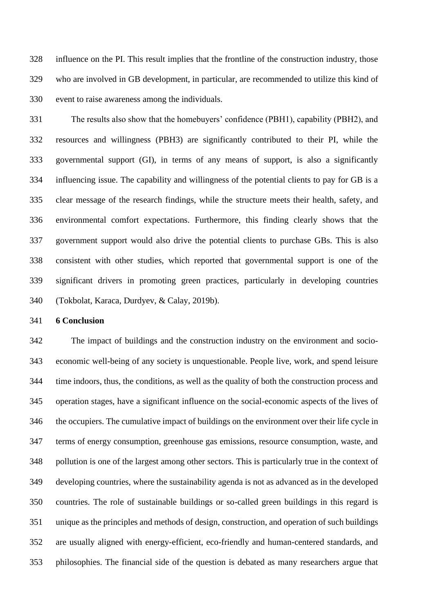influence on the PI. This result implies that the frontline of the construction industry, those who are involved in GB development, in particular, are recommended to utilize this kind of event to raise awareness among the individuals.

 The results also show that the homebuyers' confidence (PBH1), capability (PBH2), and resources and willingness (PBH3) are significantly contributed to their PI, while the governmental support (GI), in terms of any means of support, is also a significantly influencing issue. The capability and willingness of the potential clients to pay for GB is a clear message of the research findings, while the structure meets their health, safety, and environmental comfort expectations. Furthermore, this finding clearly shows that the government support would also drive the potential clients to purchase GBs. This is also consistent with other studies, which reported that governmental support is one of the significant drivers in promoting green practices, particularly in developing countries (Tokbolat, Karaca, Durdyev, & Calay, 2019b).

# **6 Conclusion**

 The impact of buildings and the construction industry on the environment and socio- economic well-being of any society is unquestionable. People live, work, and spend leisure time indoors, thus, the conditions, as well as the quality of both the construction process and operation stages, have a significant influence on the social-economic aspects of the lives of the occupiers. The cumulative impact of buildings on the environment over their life cycle in terms of energy consumption, greenhouse gas emissions, resource consumption, waste, and pollution is one of the largest among other sectors. This is particularly true in the context of developing countries, where the sustainability agenda is not as advanced as in the developed countries. The role of sustainable buildings or so-called green buildings in this regard is unique as the principles and methods of design, construction, and operation of such buildings are usually aligned with energy-efficient, eco-friendly and human-centered standards, and philosophies. The financial side of the question is debated as many researchers argue that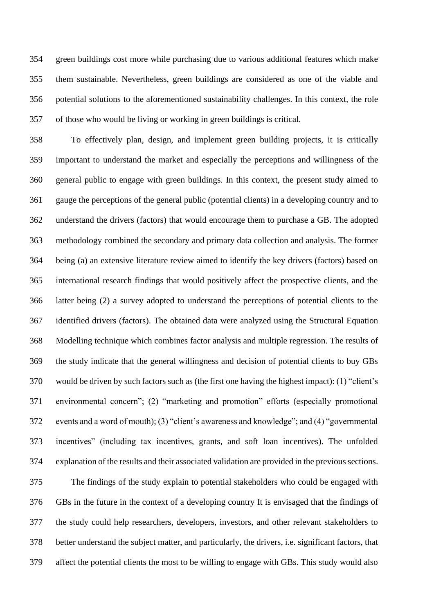green buildings cost more while purchasing due to various additional features which make them sustainable. Nevertheless, green buildings are considered as one of the viable and potential solutions to the aforementioned sustainability challenges. In this context, the role of those who would be living or working in green buildings is critical.

 To effectively plan, design, and implement green building projects, it is critically important to understand the market and especially the perceptions and willingness of the general public to engage with green buildings. In this context, the present study aimed to gauge the perceptions of the general public (potential clients) in a developing country and to understand the drivers (factors) that would encourage them to purchase a GB. The adopted methodology combined the secondary and primary data collection and analysis. The former being (a) an extensive literature review aimed to identify the key drivers (factors) based on international research findings that would positively affect the prospective clients, and the latter being (2) a survey adopted to understand the perceptions of potential clients to the identified drivers (factors). The obtained data were analyzed using the Structural Equation Modelling technique which combines factor analysis and multiple regression. The results of the study indicate that the general willingness and decision of potential clients to buy GBs would be driven by such factors such as (the first one having the highest impact): (1) "client's environmental concern"; (2) "marketing and promotion" efforts (especially promotional events and a word of mouth); (3) "client's awareness and knowledge"; and (4) "governmental incentives" (including tax incentives, grants, and soft loan incentives). The unfolded explanation of the results and their associated validation are provided in the previous sections. The findings of the study explain to potential stakeholders who could be engaged with GBs in the future in the context of a developing country It is envisaged that the findings of the study could help researchers, developers, investors, and other relevant stakeholders to better understand the subject matter, and particularly, the drivers, i.e. significant factors, that

affect the potential clients the most to be willing to engage with GBs. This study would also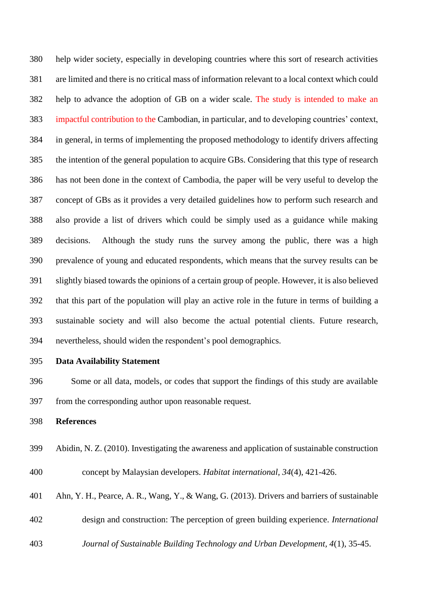help wider society, especially in developing countries where this sort of research activities are limited and there is no critical mass of information relevant to a local context which could help to advance the adoption of GB on a wider scale. The study is intended to make an impactful contribution to the Cambodian, in particular, and to developing countries' context, in general, in terms of implementing the proposed methodology to identify drivers affecting the intention of the general population to acquire GBs. Considering that this type of research has not been done in the context of Cambodia, the paper will be very useful to develop the concept of GBs as it provides a very detailed guidelines how to perform such research and also provide a list of drivers which could be simply used as a guidance while making decisions. Although the study runs the survey among the public, there was a high prevalence of young and educated respondents, which means that the survey results can be slightly biased towards the opinions of a certain group of people. However, it is also believed that this part of the population will play an active role in the future in terms of building a sustainable society and will also become the actual potential clients. Future research, nevertheless, should widen the respondent's pool demographics.

**Data Availability Statement**

 Some or all data, models, or codes that support the findings of this study are available from the corresponding author upon reasonable request.

**References**

Abidin, N. Z. (2010). Investigating the awareness and application of sustainable construction

concept by Malaysian developers. *Habitat international, 34*(4), 421-426.

- Ahn, Y. H., Pearce, A. R., Wang, Y., & Wang, G. (2013). Drivers and barriers of sustainable
- design and construction: The perception of green building experience. *International*
- *Journal of Sustainable Building Technology and Urban Development, 4*(1), 35-45.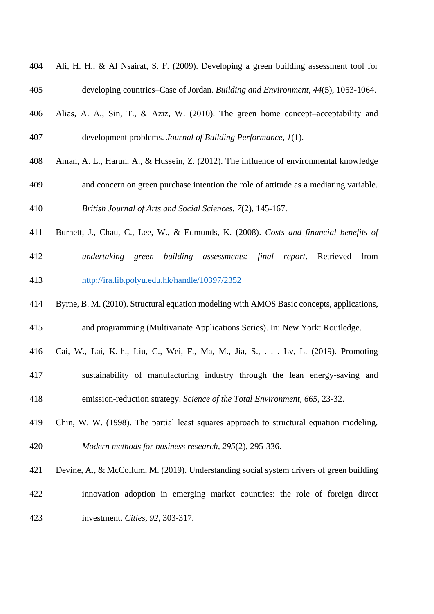| 404 | Ali, H. H., & Al Nsairat, S. F. (2009). Developing a green building assessment tool for   |
|-----|-------------------------------------------------------------------------------------------|
| 405 | developing countries–Case of Jordan. Building and Environment, 44(5), 1053-1064.          |
| 406 | Alias, A. A., Sin, T., & Aziz, W. (2010). The green home concept-acceptability and        |
| 407 | development problems. Journal of Building Performance, 1(1).                              |
| 408 | Aman, A. L., Harun, A., & Hussein, Z. (2012). The influence of environmental knowledge    |
| 409 | and concern on green purchase intention the role of attitude as a mediating variable.     |
| 410 | British Journal of Arts and Social Sciences, 7(2), 145-167.                               |
| 411 | Burnett, J., Chau, C., Lee, W., & Edmunds, K. (2008). Costs and financial benefits of     |
| 412 | undertaking green<br>building assessments: final report. Retrieved<br>from                |
| 413 | http://ira.lib.polyu.edu.hk/handle/10397/2352                                             |
| 414 | Byrne, B. M. (2010). Structural equation modeling with AMOS Basic concepts, applications, |
| 415 | and programming (Multivariate Applications Series). In: New York: Routledge.              |
| 416 | Cai, W., Lai, K.-h., Liu, C., Wei, F., Ma, M., Jia, S., Lv, L. (2019). Promoting          |
| 417 | sustainability of manufacturing industry through the lean energy-saving and               |
| 418 | emission-reduction strategy. Science of the Total Environment, 665, 23-32.                |
| 419 | Chin, W. W. (1998). The partial least squares approach to structural equation modeling.   |
| 420 | Modern methods for business research, 295(2), 295-336.                                    |
| 421 | Devine, A., & McCollum, M. (2019). Understanding social system drivers of green building  |
| 422 | innovation adoption in emerging market countries: the role of foreign direct              |
| 423 | investment. Cities, 92, 303-317.                                                          |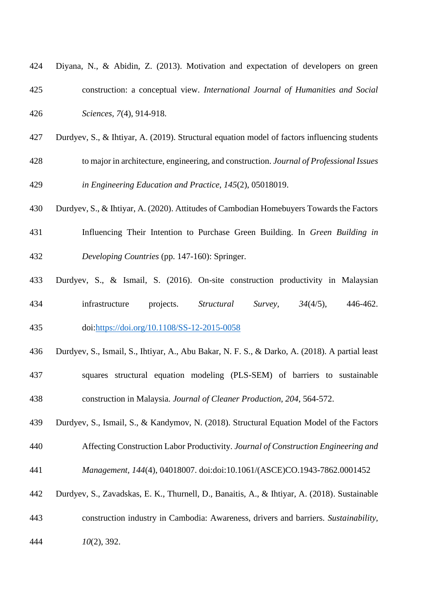| 425 | construction: a conceptual view. International Journal of Humanities and Social                |
|-----|------------------------------------------------------------------------------------------------|
| 426 | Sciences, 7(4), 914-918.                                                                       |
| 427 | Durdyev, S., & Ihtiyar, A. (2019). Structural equation model of factors influencing students   |
| 428 | to major in architecture, engineering, and construction. Journal of Professional Issues        |
| 429 | in Engineering Education and Practice, 145(2), 05018019.                                       |
| 430 | Durdyev, S., & Ihtiyar, A. (2020). Attitudes of Cambodian Homebuyers Towards the Factors       |
| 431 | Influencing Their Intention to Purchase Green Building. In Green Building in                   |
| 432 | Developing Countries (pp. 147-160): Springer.                                                  |
| 433 | Durdyev, S., & Ismail, S. (2016). On-site construction productivity in Malaysian               |
| 434 | $34(4/5)$ , 446-462.<br>infrastructure<br>projects.<br>Structural<br>Survey,                   |
| 435 | doi:https://doi.org/10.1108/SS-12-2015-0058                                                    |
| 436 | Durdyev, S., Ismail, S., Ihtiyar, A., Abu Bakar, N. F. S., & Darko, A. (2018). A partial least |
| 437 | squares structural equation modeling (PLS-SEM) of barriers to sustainable                      |
| 438 | construction in Malaysia. Journal of Cleaner Production, 204, 564-572                          |
| 439 | Durdyev, S., Ismail, S., & Kandymov, N. (2018). Structural Equation Model of the Factors       |
| 440 | Affecting Construction Labor Productivity. Journal of Construction Engineering and             |
| 441 | Management, 144(4), 04018007. doi:doi:10.1061/(ASCE)CO.1943-7862.0001452                       |
| 442 | Durdyev, S., Zavadskas, E. K., Thurnell, D., Banaitis, A., & Ihtiyar, A. (2018). Sustainable   |
| 443 | construction industry in Cambodia: Awareness, drivers and barriers. Sustainability,            |

Diyana, N., & Abidin, Z. (2013). Motivation and expectation of developers on green

*10*(2), 392.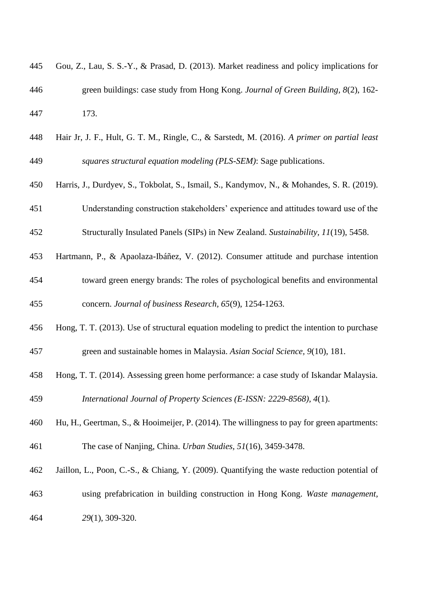| 445 | Gou, Z., Lau, S. S.-Y., & Prasad, D. (2013). Market readiness and policy implications for    |
|-----|----------------------------------------------------------------------------------------------|
| 446 | green buildings: case study from Hong Kong. Journal of Green Building, 8(2), 162-            |
| 447 | 173.                                                                                         |
| 448 | Hair Jr, J. F., Hult, G. T. M., Ringle, C., & Sarstedt, M. (2016). A primer on partial least |
| 449 | squares structural equation modeling (PLS-SEM): Sage publications.                           |
| 450 | Harris, J., Durdyev, S., Tokbolat, S., Ismail, S., Kandymov, N., & Mohandes, S. R. (2019).   |
| 451 | Understanding construction stakeholders' experience and attitudes toward use of the          |
| 452 | Structurally Insulated Panels (SIPs) in New Zealand. Sustainability, 11(19), 5458.           |
| 453 | Hartmann, P., & Apaolaza-Ibáñez, V. (2012). Consumer attitude and purchase intention         |
| 454 | toward green energy brands: The roles of psychological benefits and environmental            |
| 455 | concern. Journal of business Research, 65(9), 1254-1263.                                     |
| 456 | Hong, T. T. (2013). Use of structural equation modeling to predict the intention to purchase |
| 457 | green and sustainable homes in Malaysia. Asian Social Science, 9(10), 181.                   |
| 458 | Hong, T. T. (2014). Assessing green home performance: a case study of Iskandar Malaysia.     |
| 459 | International Journal of Property Sciences (E-ISSN: 2229-8568), 4(1).                        |
| 460 | Hu, H., Geertman, S., & Hooimeijer, P. (2014). The willingness to pay for green apartments:  |
| 461 | The case of Nanjing, China. <i>Urban Studies</i> , 51(16), 3459-3478.                        |
| 462 | Jaillon, L., Poon, C.-S., & Chiang, Y. (2009). Quantifying the waste reduction potential of  |
| 463 | using prefabrication in building construction in Hong Kong. Waste management,                |
| 464 | 29(1), 309-320.                                                                              |
|     |                                                                                              |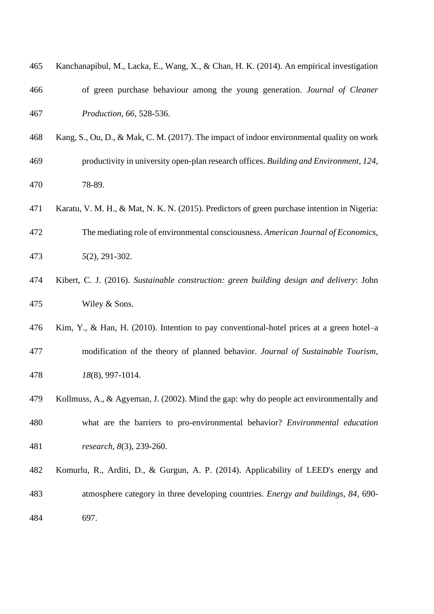| 465 | Kanchanapibul, M., Lacka, E., Wang, X., & Chan, H. K. (2014). An empirical investigation     |
|-----|----------------------------------------------------------------------------------------------|
| 466 | of green purchase behaviour among the young generation. Journal of Cleaner                   |
| 467 | Production, 66, 528-536.                                                                     |
| 468 | Kang, S., Ou, D., & Mak, C. M. (2017). The impact of indoor environmental quality on work    |
| 469 | productivity in university open-plan research offices. Building and Environment, 124,        |
| 470 | 78-89.                                                                                       |
| 471 | Karatu, V. M. H., & Mat, N. K. N. (2015). Predictors of green purchase intention in Nigeria: |
| 472 | The mediating role of environmental consciousness. American Journal of Economics,            |
| 473 | $5(2)$ , 291-302.                                                                            |
| 474 | Kibert, C. J. (2016). Sustainable construction: green building design and delivery: John     |
| 475 | Wiley & Sons.                                                                                |
| 476 | Kim, Y., & Han, H. (2010). Intention to pay conventional-hotel prices at a green hotel-a     |
| 477 | modification of the theory of planned behavior. Journal of Sustainable Tourism,              |
| 478 | 18(8), 997-1014.                                                                             |
| 479 | Kollmuss, A., & Agyeman, J. (2002). Mind the gap: why do people act environmentally and      |
| 480 | what are the barriers to pro-environmental behavior? Environmental education                 |
| 481 | research, 8(3), 239-260.                                                                     |
| 482 | Komurlu, R., Arditi, D., & Gurgun, A. P. (2014). Applicability of LEED's energy and          |
| 483 | atmosphere category in three developing countries. <i>Energy and buildings</i> , 84, 690-    |
| 484 | 697.                                                                                         |
|     |                                                                                              |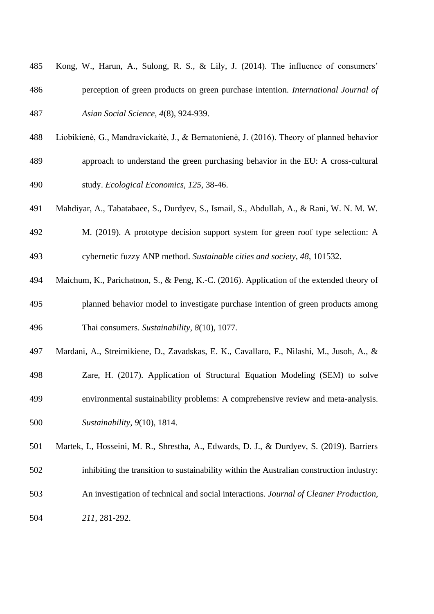| 485 | Kong, W., Harun, A., Sulong, R. S., & Lily, J. (2014). The influence of consumers'        |
|-----|-------------------------------------------------------------------------------------------|
| 486 | perception of green products on green purchase intention. <i>International Journal of</i> |
| 487 | Asian Social Science, 4(8), 924-939.                                                      |

- Liobikienė, G., Mandravickaitė, J., & Bernatonienė, J. (2016). Theory of planned behavior
- approach to understand the green purchasing behavior in the EU: A cross-cultural study. *Ecological Economics, 125*, 38-46.
- Mahdiyar, A., Tabatabaee, S., Durdyev, S., Ismail, S., Abdullah, A., & Rani, W. N. M. W.
- M. (2019). A prototype decision support system for green roof type selection: A cybernetic fuzzy ANP method. *Sustainable cities and society, 48*, 101532.
- Maichum, K., Parichatnon, S., & Peng, K.-C. (2016). Application of the extended theory of planned behavior model to investigate purchase intention of green products among Thai consumers. *Sustainability, 8*(10), 1077.
- Mardani, A., Streimikiene, D., Zavadskas, E. K., Cavallaro, F., Nilashi, M., Jusoh, A., &
- Zare, H. (2017). Application of Structural Equation Modeling (SEM) to solve environmental sustainability problems: A comprehensive review and meta-analysis.
- *Sustainability, 9*(10), 1814.

 Martek, I., Hosseini, M. R., Shrestha, A., Edwards, D. J., & Durdyev, S. (2019). Barriers inhibiting the transition to sustainability within the Australian construction industry:

- An investigation of technical and social interactions. *Journal of Cleaner Production,*
- *211*, 281-292.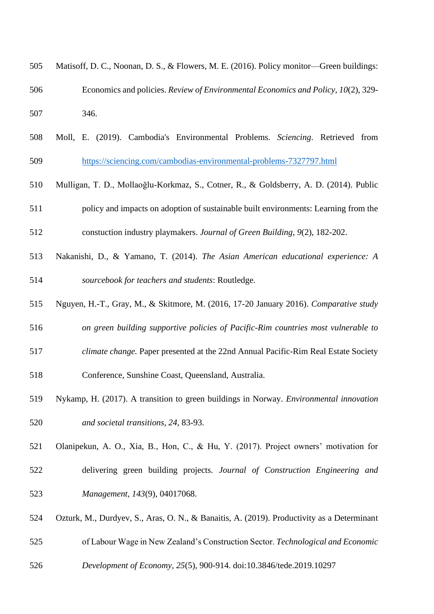| 505 | Matisoff, D. C., Noonan, D. S., & Flowers, M. E. (2016). Policy monitor—Green buildings:   |
|-----|--------------------------------------------------------------------------------------------|
| 506 | Economics and policies. Review of Environmental Economics and Policy, 10(2), 329-          |
| 507 | 346.                                                                                       |
| 508 | Moll, E. (2019). Cambodia's Environmental Problems. Sciencing. Retrieved from              |
| 509 | https://sciencing.com/cambodias-environmental-problems-7327797.html                        |
| 510 | Mulligan, T. D., Mollaoğlu-Korkmaz, S., Cotner, R., & Goldsberry, A. D. (2014). Public     |
| 511 | policy and impacts on adoption of sustainable built environments: Learning from the        |
| 512 | constuction industry playmakers. Journal of Green Building, 9(2), 182-202.                 |
| 513 | Nakanishi, D., & Yamano, T. (2014). The Asian American educational experience: A           |
| 514 | sourcebook for teachers and students: Routledge.                                           |
| 515 | Nguyen, H.-T., Gray, M., & Skitmore, M. (2016, 17-20 January 2016). Comparative study      |
| 516 | on green building supportive policies of Pacific-Rim countries most vulnerable to          |
| 517 | climate change. Paper presented at the 22nd Annual Pacific-Rim Real Estate Society         |
| 518 | Conference, Sunshine Coast, Queensland, Australia.                                         |
| 519 | Nykamp, H. (2017). A transition to green buildings in Norway. Environmental innovation     |
| 520 | and societal transitions, 24, 83-93.                                                       |
| 521 | Olanipekun, A. O., Xia, B., Hon, C., & Hu, Y. (2017). Project owners' motivation for       |
| 522 | delivering green building projects. Journal of Construction Engineering and                |
| 523 | Management, 143(9), 04017068.                                                              |
| 524 | Ozturk, M., Durdyev, S., Aras, O. N., & Banaitis, A. (2019). Productivity as a Determinant |
| 525 | of Labour Wage in New Zealand's Construction Sector. Technological and Economic            |
| 526 | Development of Economy, 25(5), 900-914. doi:10.3846/tede.2019.10297                        |
|     |                                                                                            |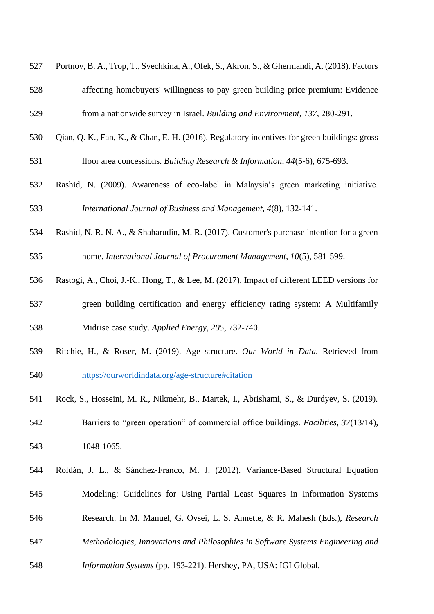|     | Portnov, B. A., Trop, T., Svechkina, A., Ofek, S., Akron, S., & Ghermandi, A. (2018). Factors |
|-----|-----------------------------------------------------------------------------------------------|
| 528 | affecting homebuyers' willingness to pay green building price premium: Evidence               |
| 529 | from a nationwide survey in Israel. Building and Environment, 137, 280-291.                   |
| 530 | Qian, Q. K., Fan, K., & Chan, E. H. (2016). Regulatory incentives for green buildings: gross  |
| 531 | floor area concessions. Building Research & Information, 44(5-6), 675-693.                    |
| 532 | Rashid, N. (2009). Awareness of eco-label in Malaysia's green marketing initiative.           |
| 533 | International Journal of Business and Management, 4(8), 132-141.                              |
| 534 | Rashid, N. R. N. A., & Shaharudin, M. R. (2017). Customer's purchase intention for a green    |
| 535 | home. International Journal of Procurement Management, 10(5), 581-599.                        |
| 536 | Rastogi, A., Choi, J.-K., Hong, T., & Lee, M. (2017). Impact of different LEED versions for   |
| 537 | green building certification and energy efficiency rating system: A Multifamily               |
| 538 | Midrise case study. Applied Energy, 205, 732-740.                                             |
| 539 | Ritchie, H., & Roser, M. (2019). Age structure. Our World in Data. Retrieved from             |
| 540 | https://ourworldindata.org/age-structure#citation                                             |
| 541 | Rock, S., Hosseini, M. R., Nikmehr, B., Martek, I., Abrishami, S., & Durdyev, S. (2019).      |
| 542 | Barriers to "green operation" of commercial office buildings. <i>Facilities</i> , 37(13/14),  |
| 543 | 1048-1065.                                                                                    |
| 544 | Roldán, J. L., & Sánchez-Franco, M. J. (2012). Variance-Based Structural Equation             |
| 545 | Modeling: Guidelines for Using Partial Least Squares in Information Systems                   |
| 546 | Research. In M. Manuel, G. Ovsei, L. S. Annette, & R. Mahesh (Eds.), Research                 |
| 547 | Methodologies, Innovations and Philosophies in Software Systems Engineering and               |
| 548 | Information Systems (pp. 193-221). Hershey, PA, USA: IGI Global.                              |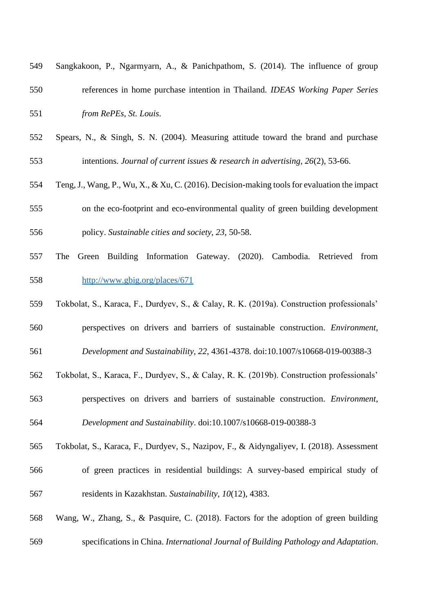| 549 | Sangkakoon, P., Ngarmyarn, A., & Panichpathom, S. (2014). The influence of group             |
|-----|----------------------------------------------------------------------------------------------|
| 550 | references in home purchase intention in Thailand. IDEAS Working Paper Series                |
| 551 | from RePEs, St. Louis.                                                                       |
| 552 | Spears, N., & Singh, S. N. (2004). Measuring attitude toward the brand and purchase          |
| 553 | intentions. Journal of current issues $\&$ research in advertising, 26(2), 53-66.            |
| 554 | Teng, J., Wang, P., Wu, X., & Xu, C. (2016). Decision-making tools for evaluation the impact |
| 555 | on the eco-footprint and eco-environmental quality of green building development             |
| 556 | policy. Sustainable cities and society, 23, 50-58.                                           |
| 557 | Green Building Information Gateway. (2020). Cambodia. Retrieved<br>The<br>from               |
| 558 | http://www.gbig.org/places/671                                                               |
| 559 | Tokbolat, S., Karaca, F., Durdyev, S., & Calay, R. K. (2019a). Construction professionals'   |
| 560 | perspectives on drivers and barriers of sustainable construction. Environment,               |
| 561 | Development and Sustainability, 22, 4361-4378. doi:10.1007/s10668-019-00388-3                |
| 562 | Tokbolat, S., Karaca, F., Durdyev, S., & Calay, R. K. (2019b). Construction professionals'   |
| 563 | perspectives on drivers and barriers of sustainable construction. Environment,               |
| 564 | Development and Sustainability. doi:10.1007/s10668-019-00388-3                               |
| 565 | Tokbolat, S., Karaca, F., Durdyev, S., Nazipov, F., & Aidyngaliyev, I. (2018). Assessment    |
| 566 | of green practices in residential buildings: A survey-based empirical study of               |
| 567 | residents in Kazakhstan. Sustainability, 10(12), 4383.                                       |
|     |                                                                                              |

 Wang, W., Zhang, S., & Pasquire, C. (2018). Factors for the adoption of green building specifications in China. *International Journal of Building Pathology and Adaptation*.